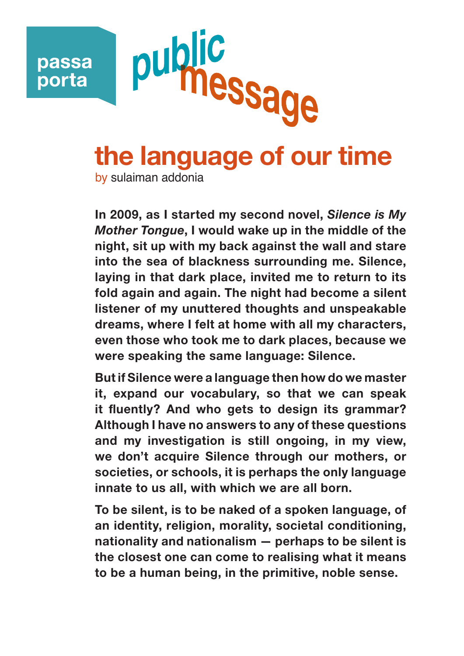

## **the language of our time**

by sulaiman addonia

**In 2009, as I started my second novel,** *Silence is My Mother Tongue***, I would wake up in the middle of the night, sit up with my back against the wall and stare into the sea of blackness surrounding me. Silence, laying in that dark place, invited me to return to its fold again and again. The night had become a silent listener of my unuttered thoughts and unspeakable dreams, where I felt at home with all my characters, even those who took me to dark places, because we were speaking the same language: Silence.**

**But if Silence were a language then how do we master it, expand our vocabulary, so that we can speak it fluently? And who gets to design its grammar? Although I have no answers to any of these questions and my investigation is still ongoing, in my view, we don't acquire Silence through our mothers, or societies, or schools, it is perhaps the only language innate to us all, with which we are all born.**

**To be silent, is to be naked of a spoken language, of an identity, religion, morality, societal conditioning, nationality and nationalism — perhaps to be silent is the closest one can come to realising what it means to be a human being, in the primitive, noble sense.**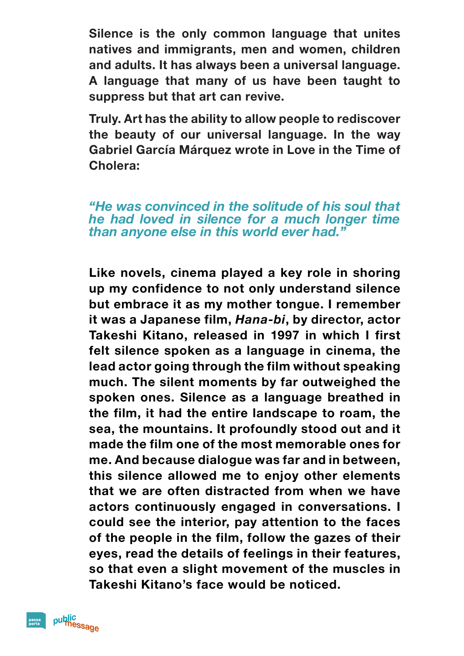**Silence is the only common language that unites natives and immigrants, men and women, children and adults. It has always been a universal language. A language that many of us have been taught to suppress but that art can revive.**

**Truly. Art has the ability to allow people to rediscover the beauty of our universal language. In the way Gabriel García Márquez wrote in Love in the Time of Cholera:**

*"He was convinced in the solitude of his soul that he had loved in silence for a much longer time than anyone else in this world ever had."*

**Like novels, cinema played a key role in shoring up my confidence to not only understand silence but embrace it as my mother tongue. I remember it was a Japanese film,** *Hana-bi***, by director, actor Takeshi Kitano, released in 1997 in which I first felt silence spoken as a language in cinema, the lead actor going through the film without speaking much. The silent moments by far outweighed the spoken ones. Silence as a language breathed in the film, it had the entire landscape to roam, the sea, the mountains. It profoundly stood out and it made the film one of the most memorable ones for me. And because dialogue was far and in between, this silence allowed me to enjoy other elements that we are often distracted from when we have actors continuously engaged in conversations. I could see the interior, pay attention to the faces of the people in the film, follow the gazes of their eyes, read the details of feelings in their features, so that even a slight movement of the muscles in Takeshi Kitano's face would be noticed.**

public<br>message